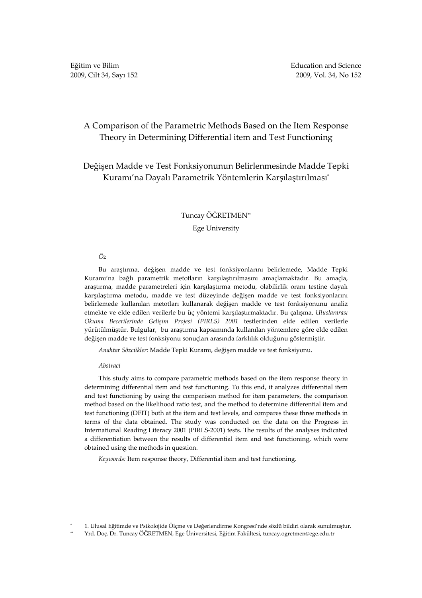# A Comparison of the Parametric Methods Based on the Item Response Theory in Determining Differential item and Test Functioning

# Değişen Madde ve Test Fonksiyonunun Belirlenmesinde Madde Tepki Kuramı'na Dayalı Parametrik Yöntemlerin Karşılaştırılması\*

## Tuncay ÖĞRETMEN\*\*

### Ege University

### Öz

Bu araştırma, değişen madde ve test fonksiyonlarını belirlemede, Madde Tepki Kuramı'na bağlı parametrik metotların karşılaştırılmasını amaçlamaktadır. Bu amaçla, araştırma, madde parametreleri için karşılaştırma metodu, olabilirlik oranı testine dayalı karşılaştırma metodu, madde ve test düzeyinde değişen madde ve test fonksiyonlarını belirlemede kullanılan metotları kullanarak değişen madde ve test fonksiyonunu analiz etmekte ve elde edilen verilerle bu üç yöntemi karşılaştırmaktadır. Bu çalışma, Uluslararası Okuma Becerilerinde Gelişim Projesi (PIRLS) 2001 testlerinden elde edilen verilerle yürütülmüştür. Bulgular, bu araştırma kapsamında kullanılan yöntemlere göre elde edilen değişen madde ve test fonksiyonu sonuçları arasında farklılık olduğunu göstermiştir.

Anahtar Sözcükler: Madde Tepki Kuramı, değişen madde ve test fonksiyonu.

#### Abstract

 \*

This study aims to compare parametric methods based on the item response theory in determining differential item and test functioning. To this end, it analyzes differential item and test functioning by using the comparison method for item parameters, the comparison method based on the likelihood ratio test, and the method to determine differential item and test functioning (DFIT) both at the item and test levels, and compares these three methods in terms of the data obtained. The study was conducted on the data on the Progress in International Reading Literacy 2001 (PIRLS-2001) tests. The results of the analyses indicated a differentiation between the results of differential item and test functioning, which were obtained using the methods in question.

Keywords: Item response theory, Differential item and test functioning.

 <sup>1.</sup> Ulusal Eğitimde ve Psikolojide Ölçme ve Değerlendirme Kongresi'nde sözlü bildiri olarak sunulmuştur.

<sup>\*\*</sup> Yrd. Doç. Dr. Tuncay ÖĞRETMEN, Ege Üniversitesi, Eğitim Fakültesi, tuncay.ogretmen@ege.edu.tr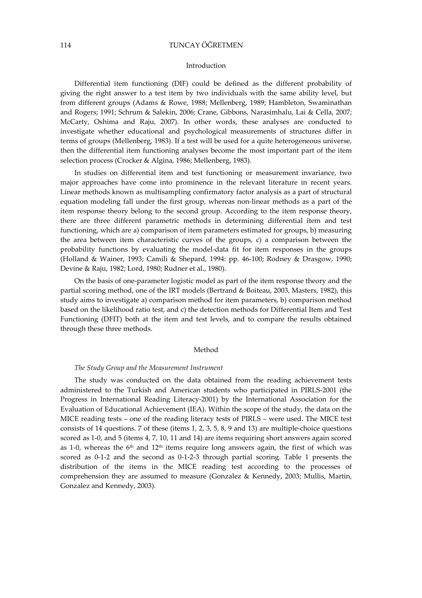### 114 TUNCAY ÖĞRETMEN

#### Introduction

Differential item functioning (DIF) could be defined as the different probability of giving the right answer to a test item by two individuals with the same ability level, but from different groups (Adams & Rowe, 1988; Mellenberg, 1989; Hambleton, Swaminathan and Rogers; 1991; Schrum & Salekin, 2006; Crane, Gibbons, Narasimhalu, Lai & Cella, 2007; McCarty, Oshima and Raju, 2007). In other words, these analyses are conducted to investigate whether educational and psychological measurements of structures differ in terms of groups (Mellenberg, 1983). If a test will be used for a quite heterogeneous universe, then the differential item functioning analyses become the most important part of the item selection process (Crocker & Algina, 1986; Mellenberg, 1983).

In studies on differential item and test functioning or measurement invariance, two major approaches have come into prominence in the relevant literature in recent years. Linear methods known as multisampling confirmatory factor analysis as a part of structural equation modeling fall under the first group, whereas non-linear methods as a part of the item response theory belong to the second group. According to the item response theory, there are three different parametric methods in determining differential item and test functioning, which are a) comparison of item parameters estimated for groups, b) measuring the area between item characteristic curves of the groups, c) a comparison between the probability functions by evaluating the model-data fit for item responses in the groups (Holland & Wainer, 1993; Camili & Shepard, 1994: pp. 46-100; Rodney & Drasgow, 1990; Devine & Raju, 1982; Lord, 1980; Rudner et al., 1980).

On the basis of one-parameter logistic model as part of the item response theory and the partial scoring method, one of the IRT models (Bertrand & Boiteau, 2003, Masters, 1982), this study aims to investigate a) comparison method for item parameters, b) comparison method based on the likelihood ratio test, and c) the detection methods for Differential Item and Test Functioning (DFIT) both at the item and test levels, and to compare the results obtained through these three methods.

#### Method

### The Study Group and the Measurement Instrument

The study was conducted on the data obtained from the reading achievement tests administered to the Turkish and American students who participated in PIRLS-2001 (the Progress in International Reading Literacy-2001) by the International Association for the Evaluation of Educational Achievement (IEA). Within the scope of the study, the data on the MICE reading tests – one of the reading literacy tests of PIRLS – were used. The MICE test consists of 14 questions. 7 of these (items 1, 2, 3, 5, 8, 9 and 13) are multiple-choice questions scored as 1-0, and 5 (items 4, 7, 10, 11 and 14) are items requiring short answers again scored as 1-0, whereas the  $6<sup>th</sup>$  and  $12<sup>th</sup>$  items require long answers again, the first of which was scored as 0-1-2 and the second as 0-1-2-3 through partial scoring. Table 1 presents the distribution of the items in the MICE reading test according to the processes of comprehension they are assumed to measure (Gonzalez & Kennedy, 2003; Mullis, Martin, Gonzalez and Kennedy, 2003).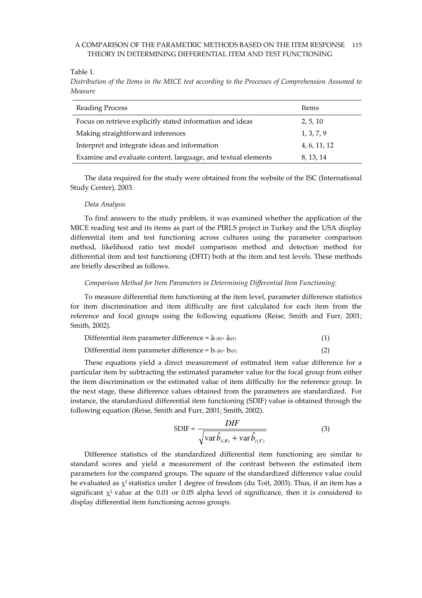### A COMPARISON OF THE PARAMETRIC METHODS BASED ON THE ITEM RESPONSE 115 THEORY IN DETERMINING DIFFERENTIAL ITEM AND TEST FUNCTIONING

Table 1.

Distribution of the Items in the MICE test according to the Processes of Comprehension Assumed to Measure

| Reading Process                                              | Items        |
|--------------------------------------------------------------|--------------|
| Focus on retrieve explicitly stated information and ideas    | 2, 5, 10     |
| Making straightforward inferences                            | 1, 3, 7, 9   |
| Interpret and integrate ideas and information                | 4, 6, 11, 12 |
| Examine and evaluate content, language, and textual elements | 8, 13, 14    |

The data required for the study were obtained from the website of the ISC (International Study Center), 2003.

### Data Analysis

To find answers to the study problem, it was examined whether the application of the MICE reading test and its items as part of the PIRLS project in Turkey and the USA display differential item and test functioning across cultures using the parameter comparison method, likelihood ratio test model comparison method and detection method for differential item and test functioning (DFIT) both at the item and test levels. These methods are briefly described as follows.

### Comparison Method for Item Parameters in Determining Differential Item Functioning:

To measure differential item functioning at the item level, parameter difference statistics for item discrimination and item difficulty are first calculated for each item from the reference and focal groups using the following equations (Reise, Smith and Furr, 2001; Smith, 2002).

| Differential item parameter difference = $\hat{a}_{i(R)}$ - $\hat{a}_{i(F)}$ |  |  |  |
|------------------------------------------------------------------------------|--|--|--|
|------------------------------------------------------------------------------|--|--|--|

Differential item parameter difference =  $b_i$ <sub>(R)</sub>- $b_i$ <sub>(F)</sub> (2)

These equations yield a direct measurement of estimated item value difference for a particular item by subtracting the estimated parameter value for the focal group from either the item discrimination or the estimated value of item difficulty for the reference group. In the next stage, these difference values obtained from the parameters are standardized. For instance, the standardized differential item functioning (SDIF) value is obtained through the following equation (Reise, Smith and Furr, 2001; Smith, 2002).

$$
SDIF = \frac{DIF}{\sqrt{\text{var}\hat{b}_{i(R)} + \text{var}\hat{b}_{i(F)}}}
$$
(3)

Difference statistics of the standardized differential item functioning are similar to standard scores and yield a measurement of the contrast between the estimated item parameters for the compared groups. The square of the standardized difference value could be evaluated as  $\chi^2$  statistics under 1 degree of freedom (du Toit, 2003). Thus, if an item has a significant  $\chi^2$  value at the 0.01 or 0.05 alpha level of significance, then it is considered to display differential item functioning across groups.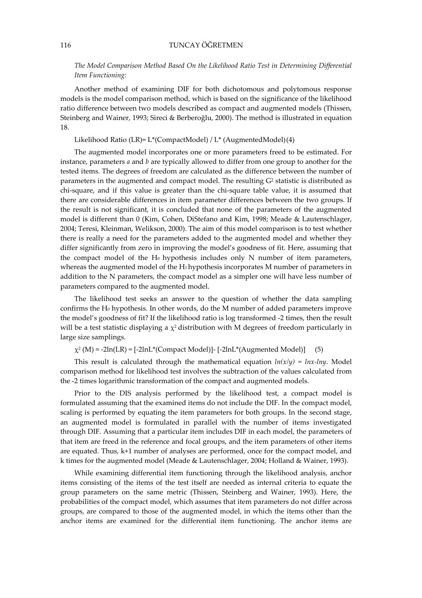## The Model Comparison Method Based On the Likelihood Ratio Test in Determining Differential Item Functioning:

Another method of examining DIF for both dichotomous and polytomous response models is the model comparison method, which is based on the significance of the likelihood ratio difference between two models described as compact and augmented models (Thissen, Steinberg and Wainer, 1993; Sireci & Berberoğlu, 2000). The method is illustrated in equation 18.

### Likelihood Ratio (LR)= L\*(CompactModel) / L\* (AugmentedModel) (4)

The augmented model incorporates one or more parameters freed to be estimated. For instance, parameters  $a$  and  $b$  are typically allowed to differ from one group to another for the tested items. The degrees of freedom are calculated as the difference between the number of parameters in the augmented and compact model. The resulting  $G^2$  statistic is distributed as chi-square, and if this value is greater than the chi-square table value, it is assumed that there are considerable differences in item parameter differences between the two groups. If the result is not significant, it is concluded that none of the parameters of the augmented model is different than 0 (Kim, Cohen, DiStefano and Kim, 1998; Meade & Lautenschlager, 2004; Teresi, Kleinman, Welikson, 2000). The aim of this model comparison is to test whether there is really a need for the parameters added to the augmented model and whether they differ significantly from zero in improving the model's goodness of fit. Here, assuming that the compact model of the  $H_0$  hypothesis includes only N number of item parameters, whereas the augmented model of the H<sub>1</sub> hypothesis incorporates M number of parameters in addition to the N parameters, the compact model as a simpler one will have less number of parameters compared to the augmented model.

The likelihood test seeks an answer to the question of whether the data sampling confirms the H0 hypothesis. In other words, do the M number of added parameters improve the model's goodness of fit? If the likelihood ratio is log transformed -2 times, then the result will be a test statistic displaying a  $\chi^2$  distribution with M degrees of freedom particularly in large size samplings.

 $\chi^2$  (M)  $\approx$  -2ln(LR) = [-2lnL\*(Compact Model)] [-2lnL\*(Augmented Model)] (5)

This result is calculated through the mathematical equation  $ln(x/y) = lnx$ -lny. Model comparison method for likelihood test involves the subtraction of the values calculated from the -2 times logarithmic transformation of the compact and augmented models.

Prior to the DIS analysis performed by the likelihood test, a compact model is formulated assuming that the examined items do not include the DIF. In the compact model, scaling is performed by equating the item parameters for both groups. In the second stage, an augmented model is formulated in parallel with the number of items investigated through DIF. Assuming that a particular item includes DIF in each model, the parameters of that item are freed in the reference and focal groups, and the item parameters of other items are equated. Thus, k+1 number of analyses are performed, once for the compact model, and k times for the augmented model (Meade & Lautenschlager, 2004; Holland & Wainer, 1993).

While examining differential item functioning through the likelihood analysis, anchor items consisting of the items of the test itself are needed as internal criteria to equate the group parameters on the same metric (Thissen, Steinberg and Wainer, 1993). Here, the probabilities of the compact model, which assumes that item parameters do not differ across groups, are compared to those of the augmented model, in which the items other than the anchor items are examined for the differential item functioning. The anchor items are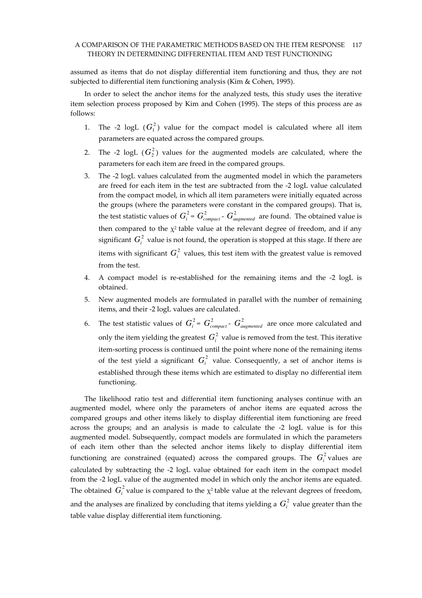### A COMPARISON OF THE PARAMETRIC METHODS BASED ON THE ITEM RESPONSE 117 THEORY IN DETERMINING DIFFERENTIAL ITEM AND TEST FUNCTIONING

assumed as items that do not display differential item functioning and thus, they are not subjected to differential item functioning analysis (Kim & Cohen, 1995).

In order to select the anchor items for the analyzed tests, this study uses the iterative item selection process proposed by Kim and Cohen (1995). The steps of this process are as follows:

- 1. The -2 logL  $(G_1^2)$  value for the compact model is calculated where all item parameters are equated across the compared groups.
- 2. The -2  $logL$  ( $G_2^2$ ) values for the augmented models are calculated, where the parameters for each item are freed in the compared groups.
- 3. The -2 logL values calculated from the augmented model in which the parameters are freed for each item in the test are subtracted from the -2 logL value calculated from the compact model, in which all item parameters were initially equated across the groups (where the parameters were constant in the compared groups). That is, the test statistic values of  $G_i^2 = G_{compact}^2$  -  $G_{augmented}^2$  are found. The obtained value is then compared to the  $\chi^2$  table value at the relevant degree of freedom, and if any significant  $G_i^2$  value is not found, the operation is stopped at this stage. If there are items with significant  $G_i^2$  values, this test item with the greatest value is removed from the test.
- 4. A compact model is re-established for the remaining items and the -2 logL is obtained.
- 5. New augmented models are formulated in parallel with the number of remaining items, and their -2 logL values are calculated.
- 6. The test statistic values of  $G_i^2 = G_{compact}^2$   $G_{augmented}^2$  are once more calculated and only the item yielding the greatest  $G_i^2$  value is removed from the test. This iterative item-sorting process is continued until the point where none of the remaining items of the test yield a significant  $G_i^2$  value. Consequently, a set of anchor items is established through these items which are estimated to display no differential item functioning.

The likelihood ratio test and differential item functioning analyses continue with an augmented model, where only the parameters of anchor items are equated across the compared groups and other items likely to display differential item functioning are freed across the groups; and an analysis is made to calculate the -2 logL value is for this augmented model. Subsequently, compact models are formulated in which the parameters of each item other than the selected anchor items likely to display differential item functioning are constrained (equated) across the compared groups. The  $G_i^2$  values are calculated by subtracting the -2 logL value obtained for each item in the compact model from the -2 logL value of the augmented model in which only the anchor items are equated. The obtained  $G_i^2$  value is compared to the  $\chi^2$  table value at the relevant degrees of freedom, and the analyses are finalized by concluding that items yielding a  $G_i^2$  value greater than the table value display differential item functioning.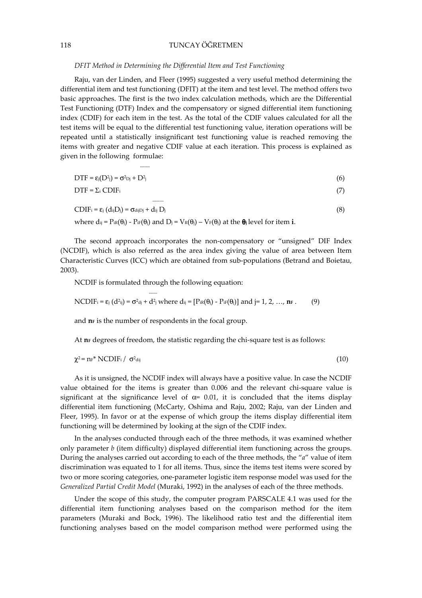## 118 TUNCAY ÖĞRETMEN

### DFIT Method in Determining the Differential Item and Test Functioning

Raju, van der Linden, and Fleer (1995) suggested a very useful method determining the differential item and test functioning (DFIT) at the item and test level. The method offers two basic approaches. The first is the two index calculation methods, which are the Differential Test Functioning (DTF) Index and the compensatory or signed differential item functioning index (CDIF) for each item in the test. As the total of the CDIF values calculated for all the test items will be equal to the differential test functioning value, iteration operations will be repeated until a statistically insignificant test functioning value is reached removing the items with greater and negative CDIF value at each iteration. This process is explained as given in the following formulae:

$$
DTF = \varepsilon_j(D^2j) = \sigma^2 D^2j + D^2j \tag{6}
$$

$$
DTF = \sum_{i} CDIF_{i} \tag{7}
$$

$$
CDIF_i = \varepsilon_j (d_{ij}D_j) = \sigma_{dij}D_j + d_{ij}D_j
$$
\n(8)

where  $di = P_{iR}(\theta_i) - P_{iF}(\theta_i)$  and  $D_i = V_R(\theta_i) - V_F(\theta_i)$  at the  $\theta_i$  level for item i.

The second approach incorporates the non-compensatory or "unsigned" DIF Index (NCDIF), which is also referred as the area index giving the value of area between Item Characteristic Curves (ICC) which are obtained from sub-populations (Betrand and Boietau, 2003).

NCDIF is formulated through the following equation:

-------

------

$$
\text{NCDIF}_{i} = \varepsilon_{j} \left( d^{2}_{ij} \right) = \sigma^{2} \mathbf{d}_{j} + d^{2}_{j} \text{ where } \mathbf{d}_{ij} = \left[ \text{Pic}(\theta_{j}) - \text{Pic}(\theta_{j}) \right] \text{ and } j = 1, 2, ..., \mathbf{n}_{F}. \tag{9}
$$

and  $n_F$  is the number of respondents in the focal group.

At  $n_F$  degrees of freedom, the statistic regarding the chi-square test is as follows:

$$
\chi^2 = nF^* NCDIF_i / \sigma^2_{\text{dij}} \tag{10}
$$

As it is unsigned, the NCDIF index will always have a positive value. In case the NCDIF value obtained for the items is greater than 0.006 and the relevant chi-square value is significant at the significance level of  $\alpha$ = 0.01, it is concluded that the items display differential item functioning (McCarty, Oshima and Raju, 2002; Raju, van der Linden and Fleer, 1995). In favor or at the expense of which group the items display differential item functioning will be determined by looking at the sign of the CDIF index.

In the analyses conducted through each of the three methods, it was examined whether only parameter  $b$  (item difficulty) displayed differential item functioning across the groups. During the analyses carried out according to each of the three methods, the "a" value of item discrimination was equated to 1 for all items. Thus, since the items test items were scored by two or more scoring categories, one-parameter logistic item response model was used for the Generalized Partial Credit Model (Muraki, 1992) in the analyses of each of the three methods.

Under the scope of this study, the computer program PARSCALE 4.1 was used for the differential item functioning analyses based on the comparison method for the item parameters (Muraki and Bock, 1996). The likelihood ratio test and the differential item functioning analyses based on the model comparison method were performed using the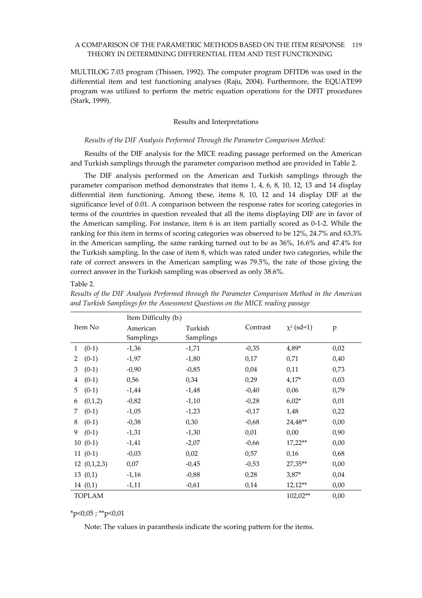### A COMPARISON OF THE PARAMETRIC METHODS BASED ON THE ITEM RESPONSE 119 THEORY IN DETERMINING DIFFERENTIAL ITEM AND TEST FUNCTIONING

MULTILOG 7.03 program (Thissen, 1992). The computer program DFITD6 was used in the differential item and test functioning analyses (Raju, 2004). Furthermore, the EQUATE99 program was utilized to perform the metric equation operations for the DFIT procedures (Stark, 1999).

### Results and Interpretations

### Results of the DIF Analysis Performed Through the Parameter Comparison Method:

Results of the DIF analysis for the MICE reading passage performed on the American and Turkish samplings through the parameter comparison method are provided in Table 2.

The DIF analysis performed on the American and Turkish samplings through the parameter comparison method demonstrates that items 1, 4, 6, 8, 10, 12, 13 and 14 display differential item functioning. Among these, items 8, 10, 12 and 14 display DIF at the significance level of 0.01. A comparison between the response rates for scoring categories in terms of the countries in question revealed that all the items displaying DIF are in favor of the American sampling. For instance, item 6 is an item partially scored as 0-1-2. While the ranking for this item in terms of scoring categories was observed to be 12%, 24.7% and 63.3% in the American sampling, the same ranking turned out to be as 36%, 16.6% and 47.4% for the Turkish sampling. In the case of item 8, which was rated under two categories, while the rate of correct answers in the American sampling was 79.5%, the rate of those giving the correct answer in the Turkish sampling was observed as only 38.6%.

Table 2.

|               | Item Difficulty (bi) |           |          |                 |      |
|---------------|----------------------|-----------|----------|-----------------|------|
| Item No       | American             | Turkish   | Contrast | $\chi^2$ (sd=1) | p    |
|               | Samplings            | Samplings |          |                 |      |
| $(0-1)$<br>1  | $-1,36$              | $-1,71$   | $-0,35$  | $4,89*$         | 0,02 |
| $(0-1)$<br>2  | $-1,97$              | $-1,80$   | 0,17     | 0,71            | 0,40 |
| 3<br>$(0-1)$  | $-0,90$              | $-0,85$   | 0,04     | 0,11            | 0,73 |
| $(0-1)$<br>4  | 0,56                 | 0,34      | 0,29     | $4,17*$         | 0,03 |
| 5<br>$(0-1)$  | $-1,44$              | $-1,48$   | $-0,40$  | 0,06            | 0,79 |
| (0,1,2)<br>6  | $-0,82$              | $-1,10$   | $-0,28$  | $6,02*$         | 0,01 |
| $(0-1)$<br>7  | $-1,05$              | $-1,23$   | $-0,17$  | 1,48            | 0,22 |
| $(0-1)$<br>8  | $-0,38$              | 0,30      | $-0,68$  | 24,48**         | 0,00 |
| 9<br>$(0-1)$  | $-1,31$              | $-1,30$   | 0,01     | 0,00            | 0,90 |
| $10(0-1)$     | $-1,41$              | $-2,07$   | $-0,66$  | $17,22**$       | 0,00 |
| $11(0-1)$     | $-0,03$              | 0,02      | 0,57     | 0,16            | 0,68 |
| 12(0,1,2,3)   | 0,07                 | $-0,45$   | $-0,53$  | 27,35**         | 0,00 |
| 13(0,1)       | $-1,16$              | $-0,88$   | 0,28     | $3,87*$         | 0,04 |
| 14(0,1)       | $-1,11$              | $-0,61$   | 0,14     | $12,12**$       | 0,00 |
| <b>TOPLAM</b> |                      |           |          | 102,02**        | 0,00 |

Results of the DIF Analysis Performed through the Parameter Comparison Method in the American and Turkish Samplings for the Assessment Questions on the MICE reading passage

 $*p<0,05$ ;  $*p<0,01$ 

Note: The values in paranthesis indicate the scoring pattern for the items.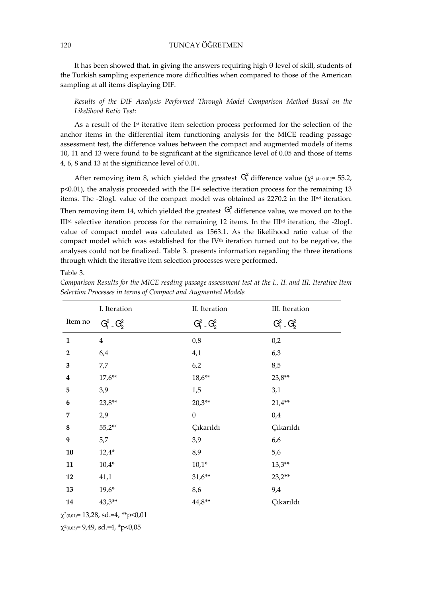It has been showed that, in giving the answers requiring high θ level of skill, students of the Turkish sampling experience more difficulties when compared to those of the American sampling at all items displaying DIF.

Results of the DIF Analysis Performed Through Model Comparison Method Based on the Likelihood Ratio Test:

As a result of the  $I<sup>st</sup>$  iterative item selection process performed for the selection of the anchor items in the differential item functioning analysis for the MICE reading passage assessment test, the difference values between the compact and augmented models of items 10, 11 and 13 were found to be significant at the significance level of 0.05 and those of items 4, 6, 8 and 13 at the significance level of 0.01.

After removing item 8, which yielded the greatest  $G_i^2$  difference value ( $\chi^2$  (4; 0.01)= 55.2, p<0.01), the analysis proceeded with the II<sup>nd</sup> selective iteration process for the remaining 13 items. The -2logL value of the compact model was obtained as 2270.2 in the II<sup>nd</sup> iteration. Then removing item 14, which yielded the greatest  $G_i^2$  difference value, we moved on to the IIIrd selective iteration process for the remaining 12 items. In the IIIrd iteration, the -2logL value of compact model was calculated as 1563.1. As the likelihood ratio value of the compact model which was established for the  $IV<sup>th</sup>$  iteration turned out to be negative, the analyses could not be finalized. Table 3. presents information regarding the three iterations through which the iterative item selection processes were performed.

#### Table 3.

|                  | I. Iteration       | II. Iteration            | III. Iteration           |
|------------------|--------------------|--------------------------|--------------------------|
| Item no          | $G_1^2$ $\_ G_2^2$ | $G_1^2$ $\ldots$ $G_2^2$ | $G_1^2$ $\ldots$ $G_2^2$ |
| $\mathbf{1}$     | $\overline{4}$     | 0,8                      | 0,2                      |
| $\overline{2}$   | 6,4                | 4,1                      | 6,3                      |
| 3                | 7,7                | 6,2                      | 8,5                      |
| $\boldsymbol{4}$ | $17,6**$           | $18,6**$                 | $23,8**$                 |
| 5                | 3,9                | 1,5                      | 3,1                      |
| 6                | $23,8**$           | $20,3**$                 | $21,4**$                 |
| 7                | 2,9                | $\boldsymbol{0}$         | 0,4                      |
| 8                | $55,2**$           | Çıkarıldı                | Çıkarıldı                |
| 9                | 5,7                | 3,9                      | 6,6                      |
| 10               | $12,4*$            | 8,9                      | 5,6                      |
| 11               | $10,4*$            | $10,1*$                  | $13,3**$                 |
| 12               | 41,1               | $31,6**$                 | $23,2**$                 |
| 13               | $19,6*$            | 8,6                      | 9,4                      |
| 14               | $43,3**$           | $44.8**$                 | Çıkarıldı                |

Comparison Results for the MICE reading passage assessment test at the I., II. and III. Iterative Item Selection Processes in terms of Compact and Augmented Models

 $\chi^2$ (0,01)= 13,28, sd.=4, \*\*p<0,01

χ2 (0,05)= 9,49, sd.=4, \*p<0,05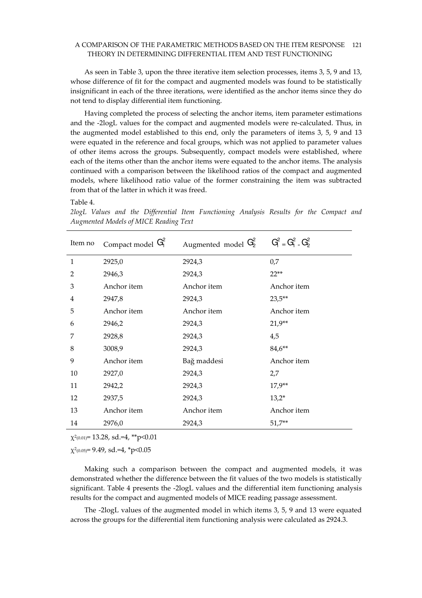### A COMPARISON OF THE PARAMETRIC METHODS BASED ON THE ITEM RESPONSE 121 THEORY IN DETERMINING DIFFERENTIAL ITEM AND TEST FUNCTIONING

As seen in Table 3, upon the three iterative item selection processes, items 3, 5, 9 and 13, whose difference of fit for the compact and augmented models was found to be statistically insignificant in each of the three iterations, were identified as the anchor items since they do not tend to display differential item functioning.

Having completed the process of selecting the anchor items, item parameter estimations and the -2logL values for the compact and augmented models were re-calculated. Thus, in the augmented model established to this end, only the parameters of items 3, 5, 9 and 13 were equated in the reference and focal groups, which was not applied to parameter values of other items across the groups. Subsequently, compact models were established, where each of the items other than the anchor items were equated to the anchor items. The analysis continued with a comparison between the likelihood ratios of the compact and augmented models, where likelihood ratio value of the former constraining the item was subtracted from that of the latter in which it was freed.

### Table 4.

2logL Values and the Differential Item Functioning Analysis Results for the Compact and Augmented Models of MICE Reading Text

| Item no        | Compact model $G_1^2$ | Augmented model $G_2^2$ | $G_1^2 = G_1^2 - G_2^2$ |
|----------------|-----------------------|-------------------------|-------------------------|
| $\mathbf{1}$   | 2925,0                | 2924,3                  | 0,7                     |
| $\overline{2}$ | 2946,3                | 2924,3                  | $22**$                  |
| 3              | Anchor item           | Anchor <i>item</i>      | Anchor item             |
| 4              | 2947,8                | 2924,3                  | $23,5**$                |
| 5              | Anchor item           | Anchor item             | Anchor item             |
| 6              | 2946,2                | 2924,3                  | $21,9**$                |
| 7              | 2928,8                | 2924,3                  | 4,5                     |
| 8              | 3008,9                | 2924,3                  | $84,6***$               |
| 9              | Anchor item           | Bağ maddesi             | Anchor item             |
| 10             | 2927,0                | 2924,3                  | 2,7                     |
| 11             | 2942,2                | 2924,3                  | $17,9**$                |
| 12             | 2937,5                | 2924,3                  | $13,2*$                 |
| 13             | Anchor item           | Anchor item             | Anchor item             |
| 14             | 2976,0                | 2924,3                  | $51,7**$                |

χ2 (0.01)= 13.28, sd.=4, \*\*p<0.01

 $\chi^2$ (0.05)= 9.49, sd.=4, \*p<0.05

Making such a comparison between the compact and augmented models, it was demonstrated whether the difference between the fit values of the two models is statistically significant. Table 4 presents the -2logL values and the differential item functioning analysis results for the compact and augmented models of MICE reading passage assessment.

The -2logL values of the augmented model in which items 3, 5, 9 and 13 were equated across the groups for the differential item functioning analysis were calculated as 2924.3.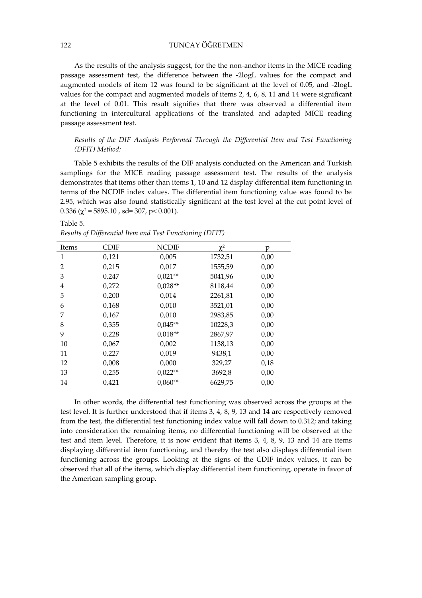# 122 TUNCAY ÖĞRETMEN

As the results of the analysis suggest, for the the non-anchor items in the MICE reading passage assessment test, the difference between the -2logL values for the compact and augmented models of item 12 was found to be significant at the level of 0.05, and -2logL values for the compact and augmented models of items 2, 4, 6, 8, 11 and 14 were significant at the level of 0.01. This result signifies that there was observed a differential item functioning in intercultural applications of the translated and adapted MICE reading passage assessment test.

Results of the DIF Analysis Performed Through the Differential Item and Test Functioning (DFIT) Method:

Table 5 exhibits the results of the DIF analysis conducted on the American and Turkish samplings for the MICE reading passage assessment test. The results of the analysis demonstrates that items other than items 1, 10 and 12 display differential item functioning in terms of the NCDIF index values. The differential item functioning value was found to be 2.95, which was also found statistically significant at the test level at the cut point level of  $0.336$  ( $\chi^2$  = 5895.10, sd= 307, p< 0.001).

### Table 5.

| Items          | <b>CDIF</b> | <b>NCDIF</b> | $\chi^2$ | Ď    |
|----------------|-------------|--------------|----------|------|
| 1              | 0,121       | 0,005        | 1732,51  | 0,00 |
| $\overline{2}$ | 0,215       | 0,017        | 1555,59  | 0,00 |
| 3              | 0,247       | $0.021**$    | 5041,96  | 0,00 |
| 4              | 0,272       | $0.028**$    | 8118,44  | 0,00 |
| 5              | 0,200       | 0,014        | 2261,81  | 0,00 |
| 6              | 0,168       | 0,010        | 3521,01  | 0,00 |
| 7              | 0,167       | 0,010        | 2983,85  | 0,00 |
| 8              | 0,355       | $0.045**$    | 10228,3  | 0,00 |
| 9              | 0,228       | $0.018**$    | 2867,97  | 0,00 |
| 10             | 0,067       | 0,002        | 1138,13  | 0,00 |
| 11             | 0,227       | 0,019        | 9438,1   | 0,00 |
| 12             | 0,008       | 0,000        | 329,27   | 0,18 |
| 13             | 0,255       | $0.022**$    | 3692,8   | 0,00 |
| 14             | 0,421       | $0,060**$    | 6629,75  | 0,00 |

Results of Differential Item and Test Functioning (DFIT)

In other words, the differential test functioning was observed across the groups at the test level. It is further understood that if items 3, 4, 8, 9, 13 and 14 are respectively removed from the test, the differential test functioning index value will fall down to 0.312; and taking into consideration the remaining items, no differential functioning will be observed at the test and item level. Therefore, it is now evident that items 3, 4, 8, 9, 13 and 14 are items displaying differential item functioning, and thereby the test also displays differential item functioning across the groups. Looking at the signs of the CDIF index values, it can be observed that all of the items, which display differential item functioning, operate in favor of the American sampling group.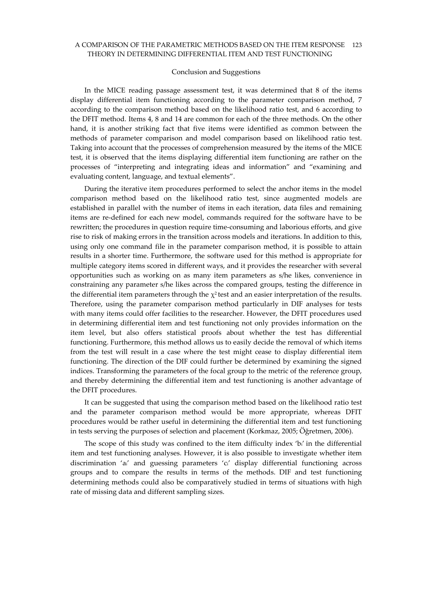### A COMPARISON OF THE PARAMETRIC METHODS BASED ON THE ITEM RESPONSE 123 THEORY IN DETERMINING DIFFERENTIAL ITEM AND TEST FUNCTIONING

#### Conclusion and Suggestions

In the MICE reading passage assessment test, it was determined that 8 of the items display differential item functioning according to the parameter comparison method, 7 according to the comparison method based on the likelihood ratio test, and 6 according to the DFIT method. Items 4, 8 and 14 are common for each of the three methods. On the other hand, it is another striking fact that five items were identified as common between the methods of parameter comparison and model comparison based on likelihood ratio test. Taking into account that the processes of comprehension measured by the items of the MICE test, it is observed that the items displaying differential item functioning are rather on the processes of "interpreting and integrating ideas and information" and "examining and evaluating content, language, and textual elements".

During the iterative item procedures performed to select the anchor items in the model comparison method based on the likelihood ratio test, since augmented models are established in parallel with the number of items in each iteration, data files and remaining items are re-defined for each new model, commands required for the software have to be rewritten; the procedures in question require time-consuming and laborious efforts, and give rise to risk of making errors in the transition across models and iterations. In addition to this, using only one command file in the parameter comparison method, it is possible to attain results in a shorter time. Furthermore, the software used for this method is appropriate for multiple category items scored in different ways, and it provides the researcher with several opportunities such as working on as many item parameters as s/he likes, convenience in constraining any parameter s/he likes across the compared groups, testing the difference in the differential item parameters through the  $\chi^2$  test and an easier interpretation of the results. Therefore, using the parameter comparison method particularly in DIF analyses for tests with many items could offer facilities to the researcher. However, the DFIT procedures used in determining differential item and test functioning not only provides information on the item level, but also offers statistical proofs about whether the test has differential functioning. Furthermore, this method allows us to easily decide the removal of which items from the test will result in a case where the test might cease to display differential item functioning. The direction of the DIF could further be determined by examining the signed indices. Transforming the parameters of the focal group to the metric of the reference group, and thereby determining the differential item and test functioning is another advantage of the DFIT procedures.

It can be suggested that using the comparison method based on the likelihood ratio test and the parameter comparison method would be more appropriate, whereas DFIT procedures would be rather useful in determining the differential item and test functioning in tests serving the purposes of selection and placement (Korkmaz, 2005; Öğretmen, 2006).

The scope of this study was confined to the item difficulty index 'bi' in the differential item and test functioning analyses. However, it is also possible to investigate whether item discrimination 'ai' and guessing parameters 'ci' display differential functioning across groups and to compare the results in terms of the methods. DIF and test functioning determining methods could also be comparatively studied in terms of situations with high rate of missing data and different sampling sizes.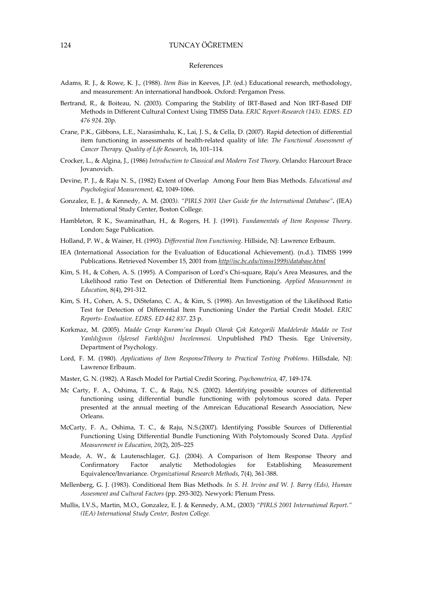#### References

- Adams, R. J., & Rowe, K. J., (1988). Item Bias in Keeves, J.P. (ed.) Educational research, methodology, and measurement: An international handbook. Oxford: Pergamon Press.
- Bertrand, R., & Boiteau, N. (2003). Comparing the Stability of IRT-Based and Non IRT-Based DIF Methods in Different Cultural Context Using TIMSS Data. ERIC Report-Research (143). EDRS. ED 476 924. 20p.
- Crane, P.K., Gibbons, L.E., Narasimhalu, K., Lai, J. S., & Cella, D. (2007). Rapid detection of differential item functioning in assessments of health-related quality of life: The Functional Assessment of Cancer Therapy. Quality of Life Research, 16, 101–114.
- Crocker, L., & Algina, J., (1986) Introduction to Classical and Modern Test Theory. Orlando: Harcourt Brace Jovanovich.
- Devine, P. J., & Raju N. S., (1982) Extent of Overlap Among Four Item Bias Methods. Educational and Psychological Measurement, 42, 1049-1066.
- Gonzalez, E. J., & Kennedy, A. M. (2003). "PIRLS 2001 User Guide for the International Database". (IEA) International Study Center, Boston College.
- Hambleton, R K., Swaminathan, H., & Rogers, H. J. (1991). Fundamentals of Item Response Theory. London: Sage Publication.
- Holland, P. W., & Wainer, H. (1993). Differential Item Functioning. Hillside, NJ: Lawrence Erlbaum.
- IEA (International Association for the Evaluation of Educational Achievement). (n.d.). TIMSS 1999 Publications. Retrieved November 15, 2001 from http//isc.bc.edu/timss1999i/database.html
- Kim, S. H., & Cohen, A. S. (1995). A Comparison of Lord's Chi-square, Raju's Area Measures, and the Likelihood ratio Test on Detection of Differential Item Functioning. Applied Measurement in Education, 8(4), 291-312.
- Kim, S. H., Cohen, A. S., DiStefano, C. A., & Kim, S. (1998). An Investigation of the Likelihood Ratio Test for Detection of Differential Item Functioning Under the Partial Credit Model. ERIC Reports- Evaluative. EDRS. ED 442 837. 23 p.
- Korkmaz, M. (2005). Madde Cevap Kuramı'na Dayalı Olarak Çok Kategorili Maddelerde Madde ve Test Yanlılığının (İşlevsel Farklılığın) İncelenmesi. Unpublished PhD Thesis. Ege University, Department of Psychology.
- Lord, F. M. (1980). Applications of Item ResponseTtheory to Practical Testing Problems. Hillsdale, NJ: Lawrence Erlbaum.
- Master, G. N. (1982). A Rasch Model for Partial Credit Scoring. Psychometrica, 47, 149-174.
- Mc Carty, F. A., Oshima, T. C., & Raju, N.S. (2002). Identifying possible sources of differential functioning using differential bundle functioning with polytomous scored data. Peper presented at the annual meeting of the Amreican Educational Research Association, New Orleans.
- McCarty, F. A., Oshima, T. C., & Raju, N.S.(2007). Identifying Possible Sources of Differential Functioning Using Differential Bundle Functioning With Polytomously Scored Data. Applied Measurement in Education, 20(2), 205–225
- Meade, A. W., & Lautenschlager, G.J. (2004). A Comparison of Item Response Theory and Confirmatory Factor analytic Methodologies for Establishing Measurement Equivalence/Invariance. Organizational Research Methods, 7(4), 361-388.
- Mellenberg, G. J. (1983). Conditional Item Bias Methods. In S. H. Irvine and W. J. Barry (Eds), Human Assesment and Cultural Factors (pp. 293-302). Newyork: Plenum Press.
- Mullis, I.V.S., Martin, M.O., Gonzalez, E. J. & Kennedy, A.M., (2003) "PIRLS 2001 International Report." (IEA) International Study Center, Boston College.